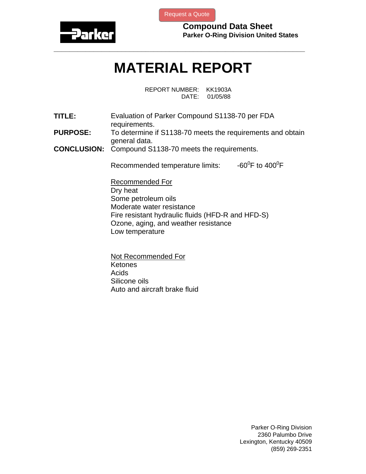

[Request a Quote](http://www.marcorubber.com/contact_quote.htm?material=Parker+S1138-70)

**Compound Data Sheet Parker O-Ring Division United States** 

## **MATERIAL REPORT**

**\_\_\_\_\_\_\_\_\_\_\_\_\_\_\_\_\_\_\_\_\_\_\_\_\_\_\_\_\_\_\_\_\_\_\_\_\_\_\_\_\_\_\_\_\_\_\_\_\_\_\_\_\_\_\_\_\_\_\_\_\_\_\_** 

REPORT NUMBER: KK1903A DATE: 01/05/88

**TITLE:** Evaluation of Parker Compound S1138-70 per FDA requirements. **PURPOSE:** To determine if S1138-70 meets the requirements and obtain

general data.

**CONCLUSION:** Compound S1138-70 meets the requirements.

Recommended temperature limits: F to  $400^0$ F

Recommended For Dry heat Some petroleum oils Moderate water resistance Fire resistant hydraulic fluids (HFD-R and HFD-S) Ozone, aging, and weather resistance Low temperature

Not Recommended For Ketones Acids Silicone oils Auto and aircraft brake fluid

> Parker O-Ring Division 2360 Palumbo Drive Lexington, Kentucky 40509 (859) 269-2351